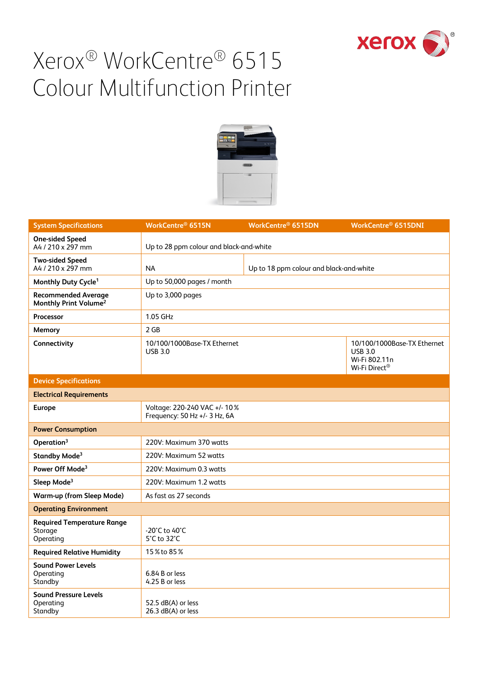



| <b>System Specifications</b>                                    | WorkCentre® 6515N                                             | WorkCentre® 6515DN                      | WorkCentre <sup>®</sup> 6515DNI                                                 |
|-----------------------------------------------------------------|---------------------------------------------------------------|-----------------------------------------|---------------------------------------------------------------------------------|
| <b>One-sided Speed</b><br>A4 / 210 x 297 mm                     | Up to 28 ppm colour and black-and-white                       |                                         |                                                                                 |
| <b>Two-sided Speed</b><br>A4 / 210 x 297 mm                     | <b>NA</b>                                                     | Up to 18 ppm colour and black-and-white |                                                                                 |
| Monthly Duty Cycle <sup>1</sup>                                 | Up to 50,000 pages / month                                    |                                         |                                                                                 |
| <b>Recommended Average</b><br>Monthly Print Volume <sup>2</sup> | Up to 3,000 pages                                             |                                         |                                                                                 |
| Processor                                                       | 1.05 GHz                                                      |                                         |                                                                                 |
| Memory                                                          | 2 GB                                                          |                                         |                                                                                 |
| Connectivity                                                    | 10/100/1000Base-TX Ethernet<br><b>USB 3.0</b>                 |                                         | 10/100/1000Base-TX Ethernet<br><b>USB 3.0</b><br>Wi-Fi 802.11n<br>Wi-Fi Direct® |
| <b>Device Specifications</b>                                    |                                                               |                                         |                                                                                 |
| <b>Electrical Requirements</b>                                  |                                                               |                                         |                                                                                 |
| <b>Europe</b>                                                   | Voltage: 220-240 VAC +/- 10%<br>Frequency: 50 Hz +/- 3 Hz, 6A |                                         |                                                                                 |
| <b>Power Consumption</b>                                        |                                                               |                                         |                                                                                 |
| Operation <sup>3</sup>                                          | 220V: Maximum 370 watts                                       |                                         |                                                                                 |
| Standby Mode <sup>3</sup>                                       | 220V: Maximum 52 watts                                        |                                         |                                                                                 |
| Power Off Mode <sup>3</sup>                                     | 220V: Maximum 0.3 watts                                       |                                         |                                                                                 |
| Sleep Mode <sup>3</sup>                                         | 220V: Maximum 1.2 watts                                       |                                         |                                                                                 |
| <b>Warm-up (from Sleep Mode)</b>                                | As fast as 27 seconds                                         |                                         |                                                                                 |
| <b>Operating Environment</b>                                    |                                                               |                                         |                                                                                 |
| <b>Required Temperature Range</b><br>Storage<br>Operating       | -20°C to 40°C<br>5°C to 32°C                                  |                                         |                                                                                 |
| <b>Required Relative Humidity</b>                               | 15% to 85%                                                    |                                         |                                                                                 |
| <b>Sound Power Levels</b><br>Operating<br>Standby               | 6.84 B or less<br>4.25 B or less                              |                                         |                                                                                 |
| <b>Sound Pressure Levels</b><br>Operating<br>Standby            | 52.5 dB(A) or less<br>26.3 dB(A) or less                      |                                         |                                                                                 |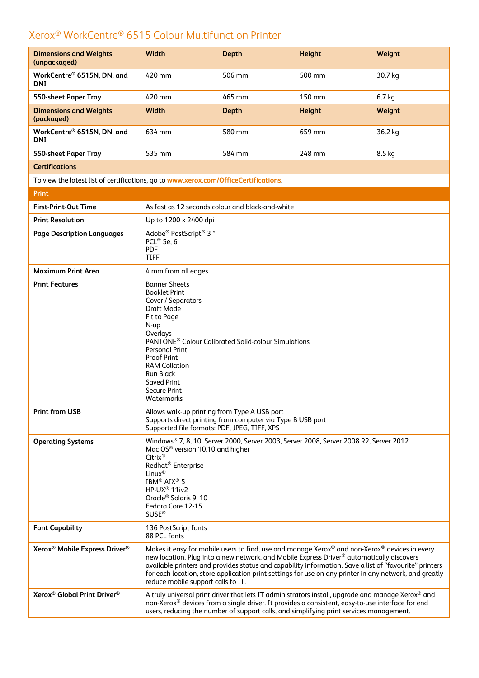| <b>Dimensions and Weights</b><br>(unpackaged)                                        | <b>Width</b>                                                                                                                                                                                                                                                                                                                                                                                                                                                     | <b>Depth</b> | <b>Height</b> | Weight  |
|--------------------------------------------------------------------------------------|------------------------------------------------------------------------------------------------------------------------------------------------------------------------------------------------------------------------------------------------------------------------------------------------------------------------------------------------------------------------------------------------------------------------------------------------------------------|--------------|---------------|---------|
| WorkCentre® 6515N, DN, and<br><b>DNI</b>                                             | 420 mm                                                                                                                                                                                                                                                                                                                                                                                                                                                           | 506 mm       | 500 mm        | 30.7 kg |
| 550-sheet Paper Tray                                                                 | 420 mm                                                                                                                                                                                                                                                                                                                                                                                                                                                           | 465 mm       | 150 mm        | 6.7 kg  |
| <b>Dimensions and Weights</b><br>(packaged)                                          | Width                                                                                                                                                                                                                                                                                                                                                                                                                                                            | <b>Depth</b> | <b>Height</b> | Weight  |
| WorkCentre® 6515N, DN, and<br><b>DNI</b>                                             | 634 mm                                                                                                                                                                                                                                                                                                                                                                                                                                                           | 580 mm       | 659 mm        | 36.2 kg |
| 550-sheet Paper Tray                                                                 | 535 mm                                                                                                                                                                                                                                                                                                                                                                                                                                                           | 584 mm       | 248 mm        | 8.5 kg  |
| <b>Certifications</b>                                                                |                                                                                                                                                                                                                                                                                                                                                                                                                                                                  |              |               |         |
| To view the latest list of certifications, go to www.xerox.com/OfficeCertifications. |                                                                                                                                                                                                                                                                                                                                                                                                                                                                  |              |               |         |
| <b>Print</b>                                                                         |                                                                                                                                                                                                                                                                                                                                                                                                                                                                  |              |               |         |
| <b>First-Print-Out Time</b>                                                          | As fast as 12 seconds colour and black-and-white                                                                                                                                                                                                                                                                                                                                                                                                                 |              |               |         |
| <b>Print Resolution</b>                                                              | Up to 1200 x 2400 dpi                                                                                                                                                                                                                                                                                                                                                                                                                                            |              |               |         |
| <b>Page Description Languages</b>                                                    | Adobe® PostScript® 3™<br>PCL <sup>®</sup> 5e, 6<br><b>PDF</b><br><b>TIFF</b>                                                                                                                                                                                                                                                                                                                                                                                     |              |               |         |
| <b>Maximum Print Area</b>                                                            | 4 mm from all edges                                                                                                                                                                                                                                                                                                                                                                                                                                              |              |               |         |
| <b>Print Features</b>                                                                | <b>Banner Sheets</b><br><b>Booklet Print</b><br>Cover / Separators<br>Draft Mode<br>Fit to Page<br>N-up<br>Overlays<br>PANTONE <sup>®</sup> Colour Calibrated Solid-colour Simulations<br><b>Personal Print</b><br><b>Proof Print</b><br><b>RAM Collation</b><br><b>Run Black</b><br><b>Saved Print</b><br><b>Secure Print</b><br>Watermarks                                                                                                                     |              |               |         |
| <b>Print from USB</b>                                                                | Allows walk-up printing from Type A USB port<br>Supports direct printing from computer via Type B USB port<br>Supported file formats: PDF, JPEG, TIFF, XPS                                                                                                                                                                                                                                                                                                       |              |               |         |
| <b>Operating Systems</b>                                                             | Windows® 7, 8, 10, Server 2000, Server 2003, Server 2008, Server 2008 R2, Server 2012<br>Mac OS <sup>®</sup> version 10.10 and higher<br>Citrix®<br>Redhat <sup>®</sup> Enterprise<br>Linux <sup>®</sup><br>IBM <sup>®</sup> AIX <sup>®</sup> 5<br>HP-UX <sup>®</sup> 11iv2<br>Oracle <sup>®</sup> Solaris 9, 10<br>Fedora Core 12-15<br>$SUSE^{\circledR}$                                                                                                      |              |               |         |
| <b>Font Capability</b>                                                               | 136 PostScript fonts<br>88 PCL fonts                                                                                                                                                                                                                                                                                                                                                                                                                             |              |               |         |
| Xerox <sup>®</sup> Mobile Express Driver <sup>®</sup>                                | Makes it easy for mobile users to find, use and manage Xerox® and non-Xerox® devices in every<br>new location. Plug into a new network, and Mobile Express Driver <sup>®</sup> automatically discovers<br>available printers and provides status and capability information. Save a list of "favourite" printers<br>for each location, store application print settings for use on any printer in any network, and greatly<br>reduce mobile support calls to IT. |              |               |         |
| Xerox <sup>®</sup> Global Print Driver <sup>®</sup>                                  | A truly universal print driver that lets IT administrators install, upgrade and manage Xerox® and<br>non-Xerox® devices from a single driver. It provides a consistent, easy-to-use interface for end<br>users, reducing the number of support calls, and simplifying print services management.                                                                                                                                                                 |              |               |         |
|                                                                                      |                                                                                                                                                                                                                                                                                                                                                                                                                                                                  |              |               |         |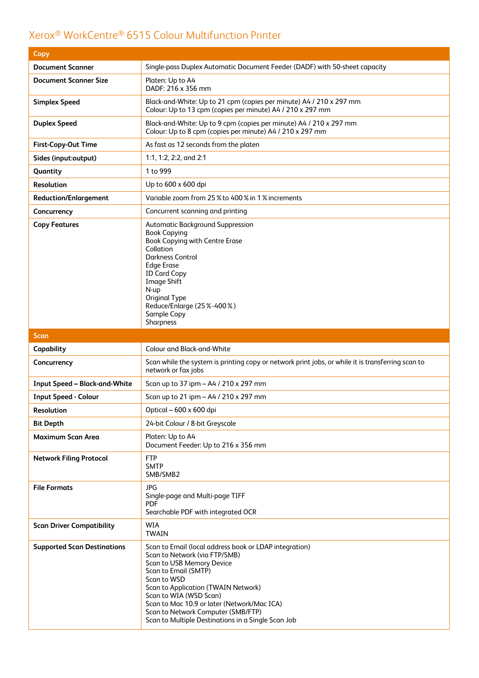| Copy                                 |                                                                                                                                                                                                                                                                                              |  |
|--------------------------------------|----------------------------------------------------------------------------------------------------------------------------------------------------------------------------------------------------------------------------------------------------------------------------------------------|--|
| <b>Document Scanner</b>              | Single-pass Duplex Automatic Document Feeder (DADF) with 50-sheet capacity                                                                                                                                                                                                                   |  |
| <b>Document Scanner Size</b>         | Platen: Up to A4<br>DADF: 216 x 356 mm                                                                                                                                                                                                                                                       |  |
| <b>Simplex Speed</b>                 | Black-and-White: Up to 21 cpm (copies per minute) A4 / 210 x 297 mm<br>Colour: Up to 13 cpm (copies per minute) A4 / 210 x 297 mm                                                                                                                                                            |  |
| <b>Duplex Speed</b>                  | Black-and-White: Up to 9 cpm (copies per minute) A4 / 210 x 297 mm<br>Colour: Up to 8 cpm (copies per minute) A4 / 210 x 297 mm                                                                                                                                                              |  |
| <b>First-Copy-Out Time</b>           | As fast as 12 seconds from the platen                                                                                                                                                                                                                                                        |  |
| Sides (input:output)                 | 1:1, 1:2, 2:2, and 2:1                                                                                                                                                                                                                                                                       |  |
| Quantity                             | 1 to 999                                                                                                                                                                                                                                                                                     |  |
| <b>Resolution</b>                    | Up to 600 x 600 dpi                                                                                                                                                                                                                                                                          |  |
| <b>Reduction/Enlargement</b>         | Variable zoom from 25 % to 400 % in 1 % increments                                                                                                                                                                                                                                           |  |
| Concurrency                          | Concurrent scanning and printing                                                                                                                                                                                                                                                             |  |
| <b>Copy Features</b>                 | <b>Automatic Background Suppression</b><br><b>Book Copying</b><br>Book Copying with Centre Erase<br>Collation<br><b>Darkness Control</b><br><b>Edge Erase</b><br><b>ID Card Copy</b><br><b>Image Shift</b><br>N-up<br>Original Type<br>Reduce/Enlarge (25%-400%)<br>Sample Copy<br>Sharpness |  |
|                                      |                                                                                                                                                                                                                                                                                              |  |
| Scan                                 |                                                                                                                                                                                                                                                                                              |  |
| Capability                           | Colour and Black-and-White                                                                                                                                                                                                                                                                   |  |
| Concurrency                          | Scan while the system is printing copy or network print jobs, or while it is transferring scan to<br>network or fax jobs                                                                                                                                                                     |  |
| <b>Input Speed - Black-and-White</b> | Scan up to 37 ipm - A4 / 210 x 297 mm                                                                                                                                                                                                                                                        |  |
| <b>Input Speed - Colour</b>          | Scan up to 21 ipm - A4 / 210 x 297 mm                                                                                                                                                                                                                                                        |  |
| Resolution                           | Optical - 600 x 600 dpi                                                                                                                                                                                                                                                                      |  |
| <b>Bit Depth</b>                     | 24-bit Colour / 8-bit Greyscale                                                                                                                                                                                                                                                              |  |
| Maximum Scan Area                    | Platen: Up to A4<br>Document Feeder: Up to 216 x 356 mm                                                                                                                                                                                                                                      |  |
| <b>Network Filing Protocol</b>       | <b>FTP</b><br><b>SMTP</b><br>SMB/SMB2                                                                                                                                                                                                                                                        |  |
| <b>File Formats</b>                  | <b>JPG</b><br>Single-page and Multi-page TIFF<br><b>PDF</b><br>Searchable PDF with integrated OCR                                                                                                                                                                                            |  |
| <b>Scan Driver Compatibility</b>     | <b>WIA</b><br><b>TWAIN</b>                                                                                                                                                                                                                                                                   |  |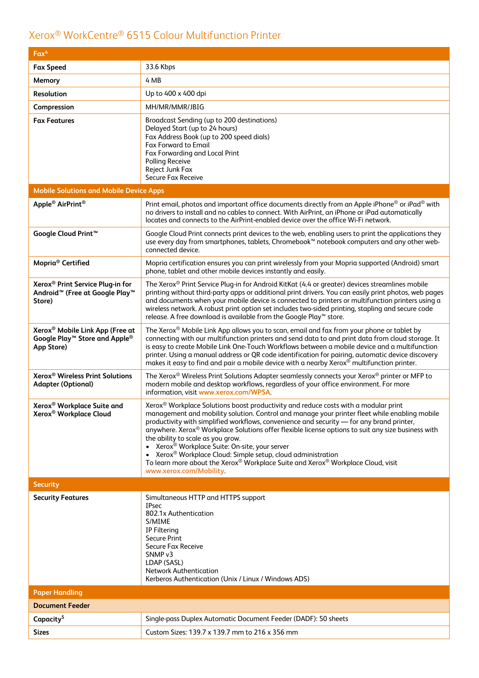| $Fax^4$                                                                                                          |                                                                                                                                                                                                                                                                                                                                                                                                                                                                                                                                                                                                                                                                                                             |
|------------------------------------------------------------------------------------------------------------------|-------------------------------------------------------------------------------------------------------------------------------------------------------------------------------------------------------------------------------------------------------------------------------------------------------------------------------------------------------------------------------------------------------------------------------------------------------------------------------------------------------------------------------------------------------------------------------------------------------------------------------------------------------------------------------------------------------------|
| <b>Fax Speed</b>                                                                                                 | 33.6 Kbps                                                                                                                                                                                                                                                                                                                                                                                                                                                                                                                                                                                                                                                                                                   |
| Memory                                                                                                           | 4 MB                                                                                                                                                                                                                                                                                                                                                                                                                                                                                                                                                                                                                                                                                                        |
| <b>Resolution</b>                                                                                                | Up to 400 x 400 dpi                                                                                                                                                                                                                                                                                                                                                                                                                                                                                                                                                                                                                                                                                         |
| Compression                                                                                                      | MH/MR/MMR/JBIG                                                                                                                                                                                                                                                                                                                                                                                                                                                                                                                                                                                                                                                                                              |
| <b>Fax Features</b>                                                                                              | Broadcast Sending (up to 200 destinations)<br>Delayed Start (up to 24 hours)<br>Fax Address Book (up to 200 speed dials)<br><b>Fax Forward to Email</b><br>Fax Forwarding and Local Print<br>Polling Receive<br>Reject Junk Fax<br>Secure Fax Receive                                                                                                                                                                                                                                                                                                                                                                                                                                                       |
| <b>Mobile Solutions and Mobile Device Apps</b>                                                                   |                                                                                                                                                                                                                                                                                                                                                                                                                                                                                                                                                                                                                                                                                                             |
| Apple <sup>®</sup> AirPrint <sup>®</sup>                                                                         | Print email, photos and important office documents directly from an Apple iPhone <sup>®</sup> or iPad <sup>®</sup> with<br>no drivers to install and no cables to connect. With AirPrint, an iPhone or iPad automatically<br>locates and connects to the AirPrint-enabled device over the office Wi-Fi network.                                                                                                                                                                                                                                                                                                                                                                                             |
| Google Cloud Print <sup>™</sup>                                                                                  | Google Cloud Print connects print devices to the web, enabling users to print the applications they<br>use every day from smartphones, tablets, Chromebook™ notebook computers and any other web-<br>connected device.                                                                                                                                                                                                                                                                                                                                                                                                                                                                                      |
| Mopria <sup>®</sup> Certified                                                                                    | Mopria certification ensures you can print wirelessly from your Mopria supported (Android) smart<br>phone, tablet and other mobile devices instantly and easily.                                                                                                                                                                                                                                                                                                                                                                                                                                                                                                                                            |
| Xerox <sup>®</sup> Print Service Plug-in for<br>Android <sup>™</sup> (Free at Google Play <sup>™</sup><br>Store) | The Xerox <sup>®</sup> Print Service Plug-in for Android KitKat (4.4 or greater) devices streamlines mobile<br>printing without third-party apps or additional print drivers. You can easily print photos, web pages<br>and documents when your mobile device is connected to printers or multifunction printers using a<br>wireless network. A robust print option set includes two-sided printing, stapling and secure code<br>release. A free download is available from the Google Play™ store.                                                                                                                                                                                                         |
| Xerox <sup>®</sup> Mobile Link App (Free at<br>Google Play™ Store and Apple®<br>App Store)                       | The Xerox <sup>®</sup> Mobile Link App allows you to scan, email and fax from your phone or tablet by<br>connecting with our multifunction printers and send data to and print data from cloud storage. It<br>is easy to create Mobile Link One-Touch Workflows between a mobile device and a multifunction<br>printer. Using a manual address or QR code identification for pairing, automatic device discovery<br>makes it easy to find and pair a mobile device with a nearby Xerox® multifunction printer.                                                                                                                                                                                              |
| Xerox <sup>®</sup> Wireless Print Solutions<br><b>Adapter (Optional)</b>                                         | The Xerox <sup>®</sup> Wireless Print Solutions Adapter seamlessly connects your Xerox <sup>®</sup> printer or MFP to<br>modern mobile and desktop workflows, regardless of your office environment. For more<br>information, visit www.xerox.com/WPSA.                                                                                                                                                                                                                                                                                                                                                                                                                                                     |
| Xerox <sup>®</sup> Workplace Suite and<br>Xerox <sup>®</sup> Workplace Cloud                                     | Xerox <sup>®</sup> Workplace Solutions boost productivity and reduce costs with a modular print<br>management and mobility solution. Control and manage your printer fleet while enabling mobile<br>productivity with simplified workflows, convenience and security - for any brand printer,<br>anywhere. Xerox <sup>®</sup> Workplace Solutions offer flexible license options to suit any size business with<br>the ability to scale as you grow.<br>• Xerox <sup>®</sup> Workplace Suite: On-site, your server<br>Xerox <sup>®</sup> Workplace Cloud: Simple setup, cloud administration<br>To learn more about the Xerox® Workplace Suite and Xerox® Workplace Cloud, visit<br>www.xerox.com/Mobility. |
| <b>Security</b>                                                                                                  |                                                                                                                                                                                                                                                                                                                                                                                                                                                                                                                                                                                                                                                                                                             |
| <b>Security Features</b>                                                                                         | Simultaneous HTTP and HTTPS support<br><b>IPsec</b><br>802.1x Authentication<br>S/MIME<br>IP Filtering<br><b>Secure Print</b><br>Secure Fax Receive<br>SNMP <sub>v3</sub><br>LDAP (SASL)<br><b>Network Authentication</b><br>Kerberos Authentication (Unix / Linux / Windows ADS)                                                                                                                                                                                                                                                                                                                                                                                                                           |
| <b>Paper Handling</b>                                                                                            |                                                                                                                                                                                                                                                                                                                                                                                                                                                                                                                                                                                                                                                                                                             |
| <b>Document Feeder</b>                                                                                           |                                                                                                                                                                                                                                                                                                                                                                                                                                                                                                                                                                                                                                                                                                             |
| Capacity <sup>5</sup>                                                                                            | Single-pass Duplex Automatic Document Feeder (DADF): 50 sheets                                                                                                                                                                                                                                                                                                                                                                                                                                                                                                                                                                                                                                              |
| <b>Sizes</b>                                                                                                     | Custom Sizes: 139.7 x 139.7 mm to 216 x 356 mm                                                                                                                                                                                                                                                                                                                                                                                                                                                                                                                                                                                                                                                              |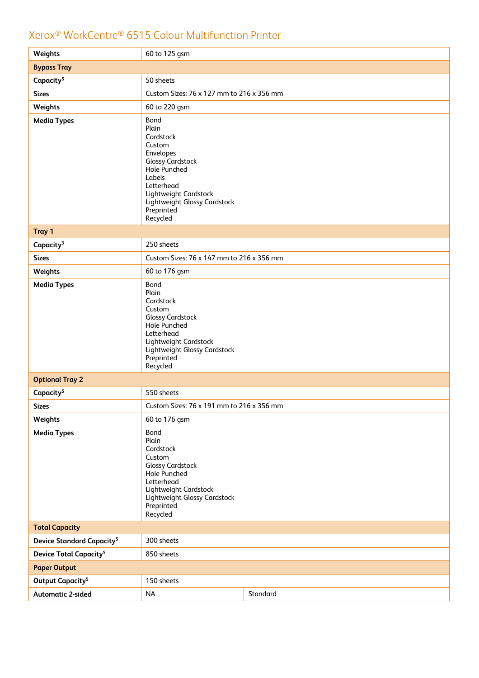| Weights                                     | 60 to 125 gsm                                                                                                                                                                                                  |          |  |
|---------------------------------------------|----------------------------------------------------------------------------------------------------------------------------------------------------------------------------------------------------------------|----------|--|
| <b>Bypass Tray</b>                          |                                                                                                                                                                                                                |          |  |
| Capacity <sup>5</sup>                       | 50 sheets                                                                                                                                                                                                      |          |  |
| <b>Sizes</b>                                | Custom Sizes: 76 x 127 mm to 216 x 356 mm                                                                                                                                                                      |          |  |
| Weights                                     | 60 to 220 gsm                                                                                                                                                                                                  |          |  |
| <b>Media Types</b>                          | Bond<br>Plain<br>Cardstock<br>Custom<br>Envelopes<br><b>Glossy Cardstock</b><br><b>Hole Punched</b><br>Labels<br>Letterhead<br>Lightweight Cardstock<br>Lightweight Glossy Cardstock<br>Preprinted<br>Recycled |          |  |
| Tray 1                                      |                                                                                                                                                                                                                |          |  |
| Capacity <sup>3</sup>                       | 250 sheets                                                                                                                                                                                                     |          |  |
| <b>Sizes</b>                                | Custom Sizes: 76 x 147 mm to 216 x 356 mm                                                                                                                                                                      |          |  |
| Weights                                     | 60 to 176 gsm                                                                                                                                                                                                  |          |  |
| <b>Media Types</b>                          | Bond<br>Plain<br>Cardstock<br>Custom<br><b>Glossy Cardstock</b><br>Hole Punched<br>Letterhead<br>Lightweight Cardstock<br>Lightweight Glossy Cardstock<br>Preprinted<br>Recycled                               |          |  |
| <b>Optional Tray 2</b>                      |                                                                                                                                                                                                                |          |  |
| Capacity <sup>5</sup>                       | 550 sheets                                                                                                                                                                                                     |          |  |
| <b>Sizes</b>                                | Custom Sizes: 76 x 191 mm to 216 x 356 mm                                                                                                                                                                      |          |  |
| Weights                                     | 60 to 176 gsm                                                                                                                                                                                                  |          |  |
| <b>Media Types</b>                          | Bond<br>Plain<br>Cardstock<br>Custom<br><b>Glossy Cardstock</b><br><b>Hole Punched</b><br>Letterhead<br>Lightweight Cardstock<br>Lightweight Glossy Cardstock<br>Preprinted<br>Recycled                        |          |  |
| <b>Total Capacity</b>                       |                                                                                                                                                                                                                |          |  |
| <b>Device Standard Capacity<sup>5</sup></b> | 300 sheets                                                                                                                                                                                                     |          |  |
| <b>Device Total Capacity<sup>5</sup></b>    | 850 sheets                                                                                                                                                                                                     |          |  |
| <b>Paper Output</b>                         |                                                                                                                                                                                                                |          |  |
| Output Capacity <sup>5</sup>                | 150 sheets                                                                                                                                                                                                     |          |  |
| <b>Automatic 2-sided</b>                    | <b>NA</b>                                                                                                                                                                                                      | Standard |  |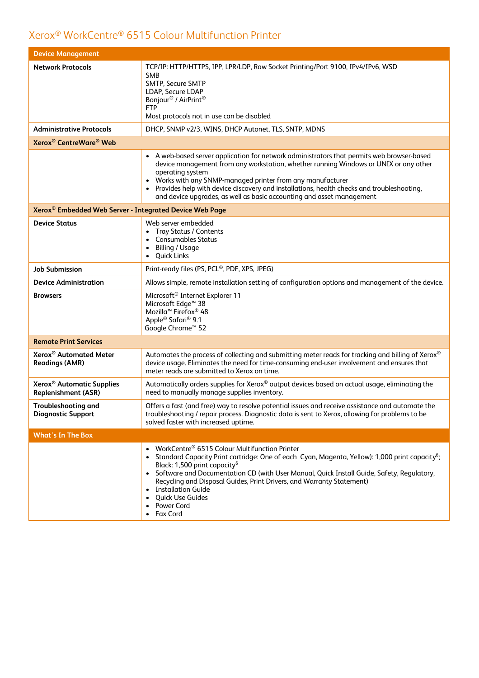| <b>Device Management</b>                                            |                                                                                                                                                                                                                                                                                                                                                                                                                                                                                            |  |
|---------------------------------------------------------------------|--------------------------------------------------------------------------------------------------------------------------------------------------------------------------------------------------------------------------------------------------------------------------------------------------------------------------------------------------------------------------------------------------------------------------------------------------------------------------------------------|--|
| <b>Network Protocols</b>                                            | TCP/IP: HTTP/HTTPS, IPP, LPR/LDP, Raw Socket Printing/Port 9100, IPv4/IPv6, WSD<br><b>SMB</b><br>SMTP, Secure SMTP<br>LDAP, Secure LDAP<br>Bonjour <sup>®</sup> / AirPrint <sup>®</sup><br><b>FTP</b><br>Most protocols not in use can be disabled                                                                                                                                                                                                                                         |  |
| <b>Administrative Protocols</b>                                     | DHCP, SNMP v2/3, WINS, DHCP Autonet, TLS, SNTP, MDNS                                                                                                                                                                                                                                                                                                                                                                                                                                       |  |
| Xerox <sup>®</sup> CentreWare <sup>®</sup> Web                      |                                                                                                                                                                                                                                                                                                                                                                                                                                                                                            |  |
|                                                                     | • A web-based server application for network administrators that permits web browser-based<br>device management from any workstation, whether running Windows or UNIX or any other<br>operating system<br>Works with any SNMP-managed printer from any manufacturer<br>$\bullet$<br>Provides help with device discovery and installations, health checks and troubleshooting,<br>and device upgrades, as well as basic accounting and asset management                                     |  |
| Xerox <sup>®</sup> Embedded Web Server - Integrated Device Web Page |                                                                                                                                                                                                                                                                                                                                                                                                                                                                                            |  |
| <b>Device Status</b>                                                | Web server embedded<br><b>Tray Status / Contents</b><br><b>Consumables Status</b><br><b>Billing / Usage</b><br>٠<br>• Quick Links                                                                                                                                                                                                                                                                                                                                                          |  |
| <b>Job Submission</b>                                               | Print-ready files (PS, PCL®, PDF, XPS, JPEG)                                                                                                                                                                                                                                                                                                                                                                                                                                               |  |
| <b>Device Administration</b>                                        | Allows simple, remote installation setting of configuration options and management of the device.                                                                                                                                                                                                                                                                                                                                                                                          |  |
| <b>Browsers</b>                                                     | Microsoft <sup>®</sup> Internet Explorer 11<br>Microsoft Edge <sup>™</sup> 38<br>Mozilla <sup>™</sup> Firefox <sup>®</sup> 48<br>Apple <sup>®</sup> Safari <sup>®</sup> 9.1<br>Google Chrome <sup>™</sup> 52                                                                                                                                                                                                                                                                               |  |
| <b>Remote Print Services</b>                                        |                                                                                                                                                                                                                                                                                                                                                                                                                                                                                            |  |
| Xerox <sup>®</sup> Automated Meter<br><b>Readings (AMR)</b>         | Automates the process of collecting and submitting meter reads for tracking and billing of Xerox®<br>device usage. Eliminates the need for time-consuming end-user involvement and ensures that<br>meter reads are submitted to Xerox on time.                                                                                                                                                                                                                                             |  |
| Xerox <sup>®</sup> Automatic Supplies<br><b>Replenishment (ASR)</b> | Automatically orders supplies for Xerox® output devices based on actual usage, eliminating the<br>need to manually manage supplies inventory.                                                                                                                                                                                                                                                                                                                                              |  |
| Troubleshooting and<br><b>Diagnostic Support</b>                    | Offers a fast (and free) way to resolve potential issues and receive assistance and automate the<br>troubleshooting / repair process. Diagnostic data is sent to Xerox, allowing for problems to be<br>solved faster with increased uptime.                                                                                                                                                                                                                                                |  |
| <b>What's In The Box</b>                                            |                                                                                                                                                                                                                                                                                                                                                                                                                                                                                            |  |
|                                                                     | WorkCentre <sup>®</sup> 6515 Colour Multifunction Printer<br>Standard Capacity Print cartridge: One of each Cyan, Magenta, Yellow): 1,000 print capacity <sup>6</sup> ;<br>$\bullet$<br>Black: 1,500 print capacity <sup>6</sup><br>• Software and Documentation CD (with User Manual, Quick Install Guide, Safety, Regulatory,<br>Recycling and Disposal Guides, Print Drivers, and Warranty Statement)<br><b>Installation Guide</b><br>٠<br>Quick Use Guides<br>Power Cord<br>• Fax Cord |  |